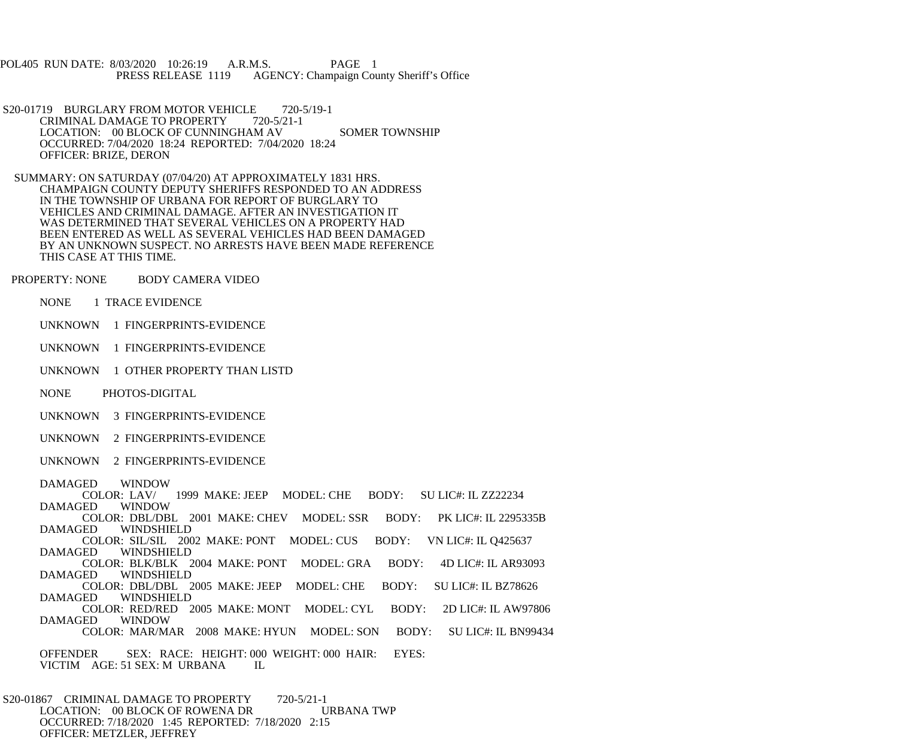POL405 RUN DATE: 8/03/2020 10:26:19 A.R.M.S. PAGE 1<br>PRESS RELEASE 1119 AGENCY: Champaign Cou AGENCY: Champaign County Sheriff's Office

S20-01719 BURGLARY FROM MOTOR VEHICLE 720-5/19-1<br>CRIMINAL DAMAGE TO PROPERTY 720-5/21-1 CRIMINAL DAMAGE TO PROPERTY LOCATION: 00 BLOCK OF CUNNINGHAM AV SOMER TOWNSHIP OCCURRED: 7/04/2020 18:24 REPORTED: 7/04/2020 18:24 OFFICER: BRIZE, DERON

 SUMMARY: ON SATURDAY (07/04/20) AT APPROXIMATELY 1831 HRS. CHAMPAIGN COUNTY DEPUTY SHERIFFS RESPONDED TO AN ADDRESS IN THE TOWNSHIP OF URBANA FOR REPORT OF BURGLARY TO VEHICLES AND CRIMINAL DAMAGE. AFTER AN INVESTIGATION IT WAS DETERMINED THAT SEVERAL VEHICLES ON A PROPERTY HAD BEEN ENTERED AS WELL AS SEVERAL VEHICLES HAD BEEN DAMAGED BY AN UNKNOWN SUSPECT. NO ARRESTS HAVE BEEN MADE REFERENCE THIS CASE AT THIS TIME.

PROPERTY: NONE BODY CAMERA VIDEO

NONE 1 TRACE EVIDENCE

UNKNOWN 1 FINGERPRINTS-EVIDENCE

UNKNOWN 1 FINGERPRINTS-EVIDENCE

UNKNOWN 1 OTHER PROPERTY THAN LISTD

NONE PHOTOS-DIGITAL

UNKNOWN 3 FINGERPRINTS-EVIDENCE

UNKNOWN 2 FINGERPRINTS-EVIDENCE

UNKNOWN 2 FINGERPRINTS-EVIDENCE

DAMAGED WINDOW<br>COLOR: LAV/

R: LAV/ 1999 MAKE: JEEP MODEL: CHE BODY: SU LIC#: IL ZZ22234<br>WINDOW DAMAGED COLOR: DBL/DBL 2001 MAKE: CHEV MODEL: SSR BODY: PK LIC#: IL 2295335B<br>DAMAGED WINDSHIELD WINDSHIELD COLOR: SIL/SIL 2002 MAKE: PONT MODEL: CUS BODY: VN LIC#: IL Q425637<br>DAMAGED WINDSHIELD WINDSHIELD COLOR: BLK/BLK 2004 MAKE: PONT MODEL: GRA BODY: 4D LIC#: IL AR93093 DAMAGED WINDSHIELD COLOR: DBL/DBL 2005 MAKE: JEEP MODEL: CHE BODY: SU LIC#: IL BZ78626<br>DAMAGED WINDSHIELD WINDSHIELD COLOR: RED/RED 2005 MAKE: MONT MODEL: CYL BODY: 2D LIC#: IL AW97806 **DAMAGED**  COLOR: MAR/MAR 2008 MAKE: HYUN MODEL: SON BODY: SU LIC#: IL BN99434 OFFENDER SEX: RACE: HEIGHT: 000 WEIGHT: 000 HAIR: EYES: VICTIM AGE: 51 SEX: M URBANA IL VICTIM AGE: 51 SEX: M URBANA

S20-01867 CRIMINAL DAMAGE TO PROPERTY 720-5/21-1 LOCATION: 00 BLOCK OF ROWENA DR URBANA TWP OCCURRED: 7/18/2020 1:45 REPORTED: 7/18/2020 2:15 OFFICER: METZLER, JEFFREY